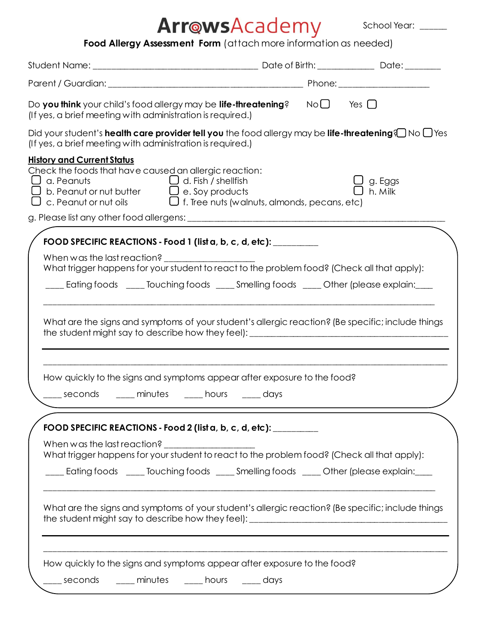## **Food Allergy Assessment Form** (attach more information as needed)

School Year: \_\_\_\_\_

| (If yes, a brief meeting with administration is required.)                                                                                                                                                                                     |                    |
|------------------------------------------------------------------------------------------------------------------------------------------------------------------------------------------------------------------------------------------------|--------------------|
| Did your student's <b>health care provider tell you</b> the food allergy may be <b>life-threatening</b> ? No $\Box$ Yes<br>(If yes, a brief meeting with administration is required.)                                                          |                    |
| <b>History and Current Status</b><br>Check the foods that have caused an allergic reaction:<br>□ a. Peanuts<br>□ b. Peanut or nut butter □ e. Soy products<br>$\Box$ c. Peanut or nut oils $\Box$ f. Tree nuts (walnuts, almonds, pecans, etc) | g. Eggs<br>h. Milk |
|                                                                                                                                                                                                                                                |                    |
| FOOD SPECIFIC REACTIONS - Food 1 (list a, b, c, d, etc): _________                                                                                                                                                                             |                    |
| What trigger happens for your student to react to the problem food? (Check all that apply):<br>___ Eating foods ____ Touching foods ____ Smelling foods ____ Other (please explain:___                                                         |                    |
| What are the signs and symptoms of your student's allergic reaction? (Be specific; include things                                                                                                                                              |                    |
| How quickly to the signs and symptoms appear after exposure to the food?                                                                                                                                                                       |                    |
|                                                                                                                                                                                                                                                |                    |
| FOOD SPECIFIC REACTIONS - Food 2 (list a, b, c, d, etc): _________                                                                                                                                                                             |                    |
| What trigger happens for your student to react to the problem food? (Check all that apply):                                                                                                                                                    |                    |
| ___ Eating foods ____ Touching foods ____ Smelling foods ____ Other (please explain:___                                                                                                                                                        |                    |
| What are the signs and symptoms of your student's allergic reaction? (Be specific; include things                                                                                                                                              |                    |
| How quickly to the signs and symptoms appear after exposure to the food?                                                                                                                                                                       |                    |
|                                                                                                                                                                                                                                                |                    |